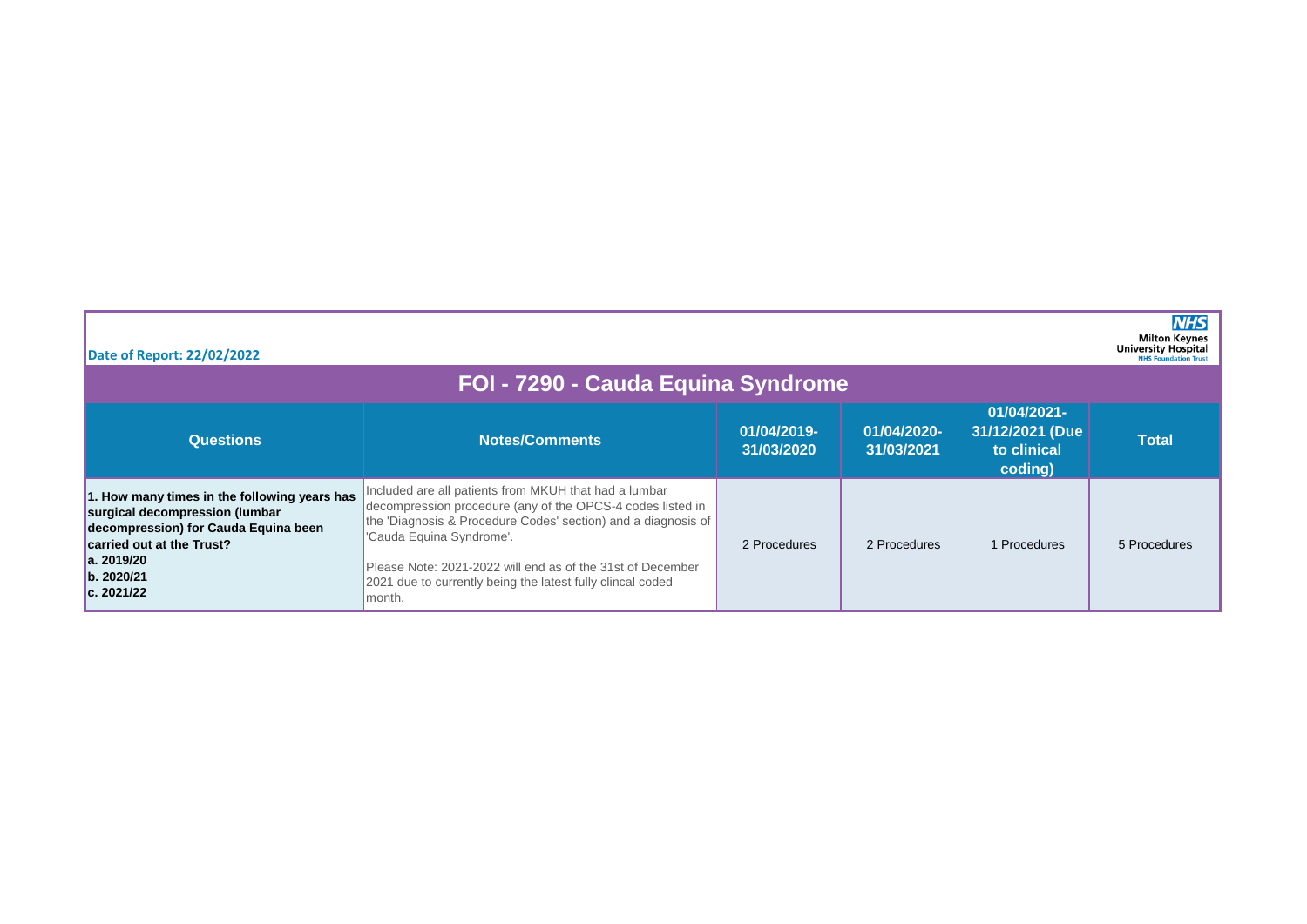| Date of Report: 22/02/2022                                                                                                                                                                     |                                                                                                                                                                                                                                                                                                                                                        |                           |                           |                                                          | <b>NHS</b><br><b>Milton Keynes</b><br><b>University Hospital</b><br><b>NHS Foundation Trust</b> |  |
|------------------------------------------------------------------------------------------------------------------------------------------------------------------------------------------------|--------------------------------------------------------------------------------------------------------------------------------------------------------------------------------------------------------------------------------------------------------------------------------------------------------------------------------------------------------|---------------------------|---------------------------|----------------------------------------------------------|-------------------------------------------------------------------------------------------------|--|
| FOI - 7290 - Cauda Equina Syndrome                                                                                                                                                             |                                                                                                                                                                                                                                                                                                                                                        |                           |                           |                                                          |                                                                                                 |  |
| <b>Questions</b>                                                                                                                                                                               | <b>Notes/Comments</b>                                                                                                                                                                                                                                                                                                                                  | 01/04/2019-<br>31/03/2020 | 01/04/2020-<br>31/03/2021 | 01/04/2021-<br>31/12/2021 (Due<br>to clinical<br>coding) | <b>Total</b>                                                                                    |  |
| 1. How many times in the following years has<br>surgical decompression (lumbar<br>decompression) for Cauda Equina been<br>carried out at the Trust?<br>la. 2019/20<br>b. 2020/21<br>c. 2021/22 | Included are all patients from MKUH that had a lumbar<br>decompression procedure (any of the OPCS-4 codes listed in<br>the 'Diagnosis & Procedure Codes' section) and a diagnosis of<br>'Cauda Equina Syndrome'.<br>Please Note: 2021-2022 will end as of the 31st of December<br>2021 due to currently being the latest fully clincal coded<br>month. | 2 Procedures              | 2 Procedures              | Procedures                                               | 5 Procedures                                                                                    |  |